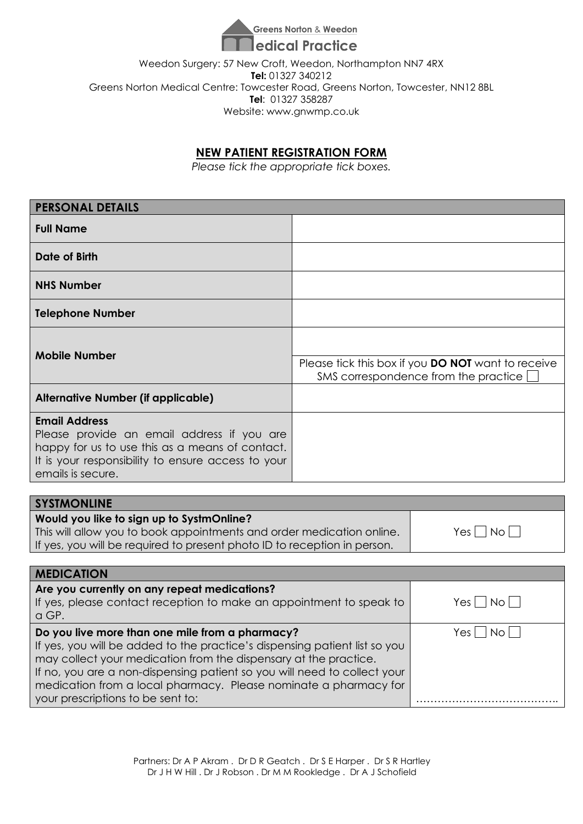

Weedon Surgery: 57 New Croft, Weedon, Northampton NN7 4RX **Tel:** 01327 340212 Greens Norton Medical Centre: Towcester Road, Greens Norton, Towcester, NN12 8BL **Tel**: 01327 358287 Website: www.gnwmp.co.uk

### **NEW PATIENT REGISTRATION FORM**

*Please tick the appropriate tick boxes.*

| <b>PERSONAL DETAILS</b>                                                                                                                                                                                                                                                                                                                                                                |                                                                                                   |                    |  |
|----------------------------------------------------------------------------------------------------------------------------------------------------------------------------------------------------------------------------------------------------------------------------------------------------------------------------------------------------------------------------------------|---------------------------------------------------------------------------------------------------|--------------------|--|
| <b>Full Name</b>                                                                                                                                                                                                                                                                                                                                                                       |                                                                                                   |                    |  |
| <b>Date of Birth</b>                                                                                                                                                                                                                                                                                                                                                                   |                                                                                                   |                    |  |
| <b>NHS Number</b>                                                                                                                                                                                                                                                                                                                                                                      |                                                                                                   |                    |  |
| <b>Telephone Number</b>                                                                                                                                                                                                                                                                                                                                                                |                                                                                                   |                    |  |
|                                                                                                                                                                                                                                                                                                                                                                                        |                                                                                                   |                    |  |
| <b>Mobile Number</b>                                                                                                                                                                                                                                                                                                                                                                   | Please tick this box if you <b>DO NOT</b> want to receive<br>SMS correspondence from the practice |                    |  |
| <b>Alternative Number (if applicable)</b>                                                                                                                                                                                                                                                                                                                                              |                                                                                                   |                    |  |
| <b>Email Address</b><br>Please provide an email address if you are<br>happy for us to use this as a means of contact.<br>It is your responsibility to ensure access to your<br>emails is secure.                                                                                                                                                                                       |                                                                                                   |                    |  |
|                                                                                                                                                                                                                                                                                                                                                                                        |                                                                                                   |                    |  |
| <b>SYSTMONLINE</b><br>Would you like to sign up to SystmOnline?<br>This will allow you to book appointments and order medication online.<br>If yes, you will be required to present photo ID to reception in person.                                                                                                                                                                   |                                                                                                   | $Yes \Box No \Box$ |  |
| <b>MEDICATION</b>                                                                                                                                                                                                                                                                                                                                                                      |                                                                                                   |                    |  |
| Are you currently on any repeat medications?<br>If yes, please contact reception to make an appointment to speak to<br>a GP.                                                                                                                                                                                                                                                           |                                                                                                   | $Yes \Box No \Box$ |  |
| Do you live more than one mile from a pharmacy?<br>If yes, you will be added to the practice's dispensing patient list so you<br>may collect your medication from the dispensary at the practice.<br>If no, you are a non-dispensing patient so you will need to collect your<br>medication from a local pharmacy. Please nominate a pharmacy for<br>your prescriptions to be sent to: |                                                                                                   | $Yes \Box No \Box$ |  |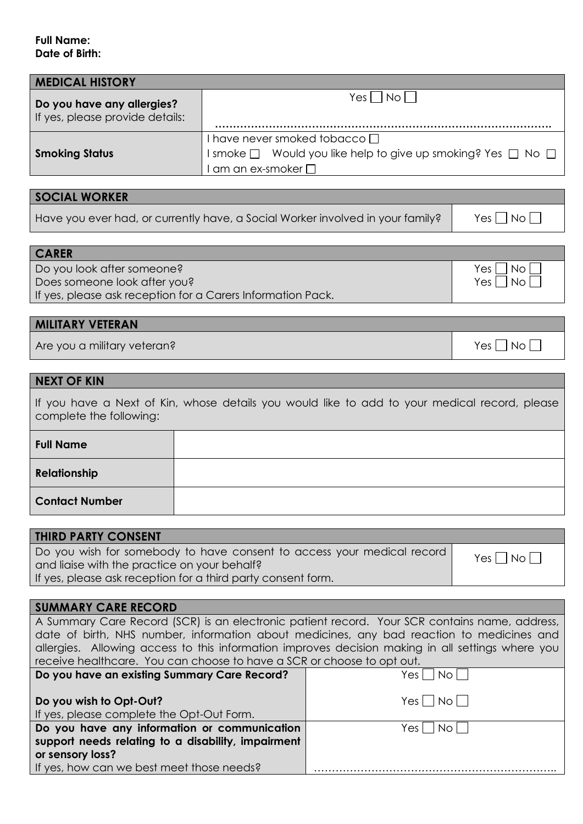#### **Full Name: Date of Birth:**

| <b>MEDICAL HISTORY</b>                                        |                                                                                                                                            |
|---------------------------------------------------------------|--------------------------------------------------------------------------------------------------------------------------------------------|
| Do you have any allergies?<br>If yes, please provide details: | $ N_{\rm O} $<br>Yes I                                                                                                                     |
| <b>Smoking Status</b>                                         | I have never smoked tobacco □<br>I smoke $\Box$ Would you like help to give up smoking? Yes $\Box$ No $\Box$<br>$I$ am an ex-smoker $\Box$ |

#### **SOCIAL WORKER**

**CARER** 

Have you ever had, or currently have, a Social Worker involved in your family?  $\Box$  Yes  $\Box$  No  $\Box$ 

| I CARER                                                     |            |
|-------------------------------------------------------------|------------|
| Do you look after someone?                                  | Yes     No |
| Does someone look after you?                                | Yes     No |
| If yes, please ask reception for a Carers Information Pack. |            |

### **MILITARY VETERAN**

Are you a military veteran? The state of the state of the state of the state of the SNo  $\Box$  No  $\Box$ 

#### **NEXT OF KIN**

If you have a Next of Kin, whose details you would like to add to your medical record, please complete the following:

| <b>Full Name</b>      |  |
|-----------------------|--|
| Relationship          |  |
| <b>Contact Number</b> |  |

| <b>THIRD PARTY CONSENT</b>                                                                                                                                                             |                    |
|----------------------------------------------------------------------------------------------------------------------------------------------------------------------------------------|--------------------|
| Do you wish for somebody to have consent to access your medical record<br>and liaise with the practice on your behalf?<br>If yes, please ask reception for a third party consent form. | $Yes \Box No \Box$ |

# **SUMMARY CARE RECORD**

| A Summary Care Record (SCR) is an electronic patient record. Your SCR contains name, address,     |                    |  |
|---------------------------------------------------------------------------------------------------|--------------------|--|
| date of birth, NHS number, information about medicines, any bad reaction to medicines and         |                    |  |
| allergies. Allowing access to this information improves decision making in all settings where you |                    |  |
| receive healthcare. You can choose to have a SCR or choose to opt out.                            |                    |  |
| Yes     No    <br>Do you have an existing Summary Care Record?                                    |                    |  |
| Do you wish to Opt-Out?                                                                           | $Yes \Box No \Box$ |  |

| If yes, please complete the Opt-Out Form.          |            |
|----------------------------------------------------|------------|
| Do you have any information or communication       | Yes     No |
| support needs relating to a disability, impairment |            |
| or sensory loss?                                   |            |
| If yes, how can we best meet those needs?          |            |
|                                                    |            |